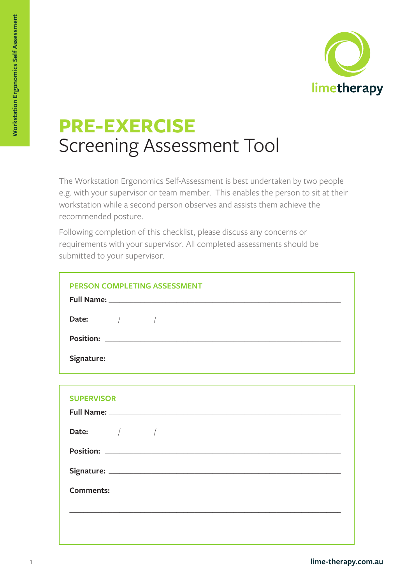

# **PRE-EXERCISE** Screening Assessment Tool

The Workstation Ergonomics Self-Assessment is best undertaken by two people e.g. with your supervisor or team member. This enables the person to sit at their workstation while a second person observes and assists them achieve the recommended posture.

Following completion of this checklist, please discuss any concerns or requirements with your supervisor. All completed assessments should be submitted to your supervisor.

| <b>PERSON COMPLETING ASSESSMENT</b> |
|-------------------------------------|
| Date: $\sqrt{2}$                    |
|                                     |
|                                     |
|                                     |
| <b>SUPERVISOR</b>                   |
| Full Name:                          |

| Date: $\qquad \qquad / \qquad \qquad /$ |  |  |  |
|-----------------------------------------|--|--|--|
|                                         |  |  |  |
|                                         |  |  |  |
|                                         |  |  |  |
|                                         |  |  |  |
|                                         |  |  |  |
|                                         |  |  |  |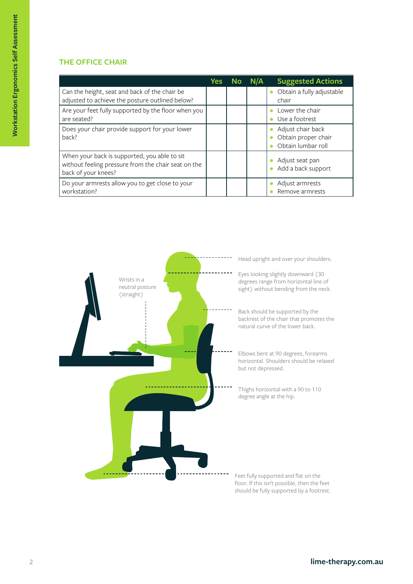#### **THE OFFICE CHAIR**

|                                                                                                                            | Yes | <b>No</b> | N/A | <b>Suggested Actions</b>                                       |
|----------------------------------------------------------------------------------------------------------------------------|-----|-----------|-----|----------------------------------------------------------------|
| Can the height, seat and back of the chair be<br>adjusted to achieve the posture outlined below?                           |     |           |     | Obtain a fully adjustable<br>chair                             |
| Are your feet fully supported by the floor when you<br>are seated?                                                         |     |           |     | Lower the chair<br>Use a footrest                              |
| Does your chair provide support for your lower<br>back?                                                                    |     |           |     | Adjust chair back<br>Obtain proper chair<br>Obtain lumbar roll |
| When your back is supported, you able to sit<br>without feeling pressure from the chair seat on the<br>back of your knees? |     |           |     | Adjust seat pan<br>Add a back support                          |
| Do your armrests allow you to get close to your<br>workstation?                                                            |     |           |     | Adjust armrests<br>Remove armrests                             |



**lime-therapy.com.au**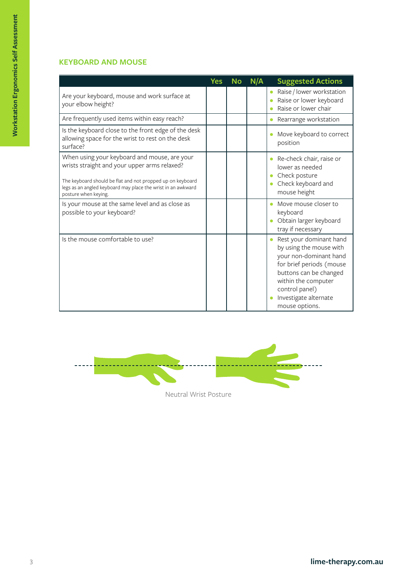#### **KEYBOARD AND MOUSE**

|                                                                                                                                                                                                                                                    | <b>Yes</b> | <b>No</b> | N/A | <b>Suggested Actions</b>                                                                                                                                                                                               |
|----------------------------------------------------------------------------------------------------------------------------------------------------------------------------------------------------------------------------------------------------|------------|-----------|-----|------------------------------------------------------------------------------------------------------------------------------------------------------------------------------------------------------------------------|
| Are your keyboard, mouse and work surface at<br>your elbow height?                                                                                                                                                                                 |            |           |     | Raise / lower workstation<br>Raise or lower keyboard<br>Raise or lower chair                                                                                                                                           |
| Are frequently used items within easy reach?                                                                                                                                                                                                       |            |           |     | Rearrange workstation                                                                                                                                                                                                  |
| Is the keyboard close to the front edge of the desk<br>allowing space for the wrist to rest on the desk<br>surface?                                                                                                                                |            |           |     | Move keyboard to correct<br>position                                                                                                                                                                                   |
| When using your keyboard and mouse, are your<br>wrists straight and your upper arms relaxed?<br>The keyboard should be flat and not propped up on keyboard<br>legs as an angled keyboard may place the wrist in an awkward<br>posture when keying. |            |           |     | Re-check chair, raise or<br>lower as needed<br>Check posture<br>Check keyboard and<br>mouse height                                                                                                                     |
| Is your mouse at the same level and as close as<br>possible to your keyboard?                                                                                                                                                                      |            |           |     | Move mouse closer to<br>keyboard<br>Obtain larger keyboard<br>tray if necessary                                                                                                                                        |
| Is the mouse comfortable to use?                                                                                                                                                                                                                   |            |           |     | Rest your dominant hand<br>by using the mouse with<br>your non-dominant hand<br>for brief periods (mouse<br>buttons can be changed<br>within the computer<br>control panel)<br>Investigate alternate<br>mouse options. |

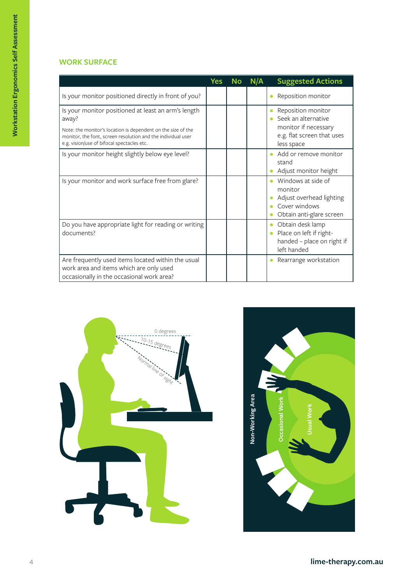### **WORK SURFACE**

|                                                                                                                                                                                                                                            | <b>Yes</b> | <b>No</b> | N/A | <b>Suggested Actions</b>                                                                                      |
|--------------------------------------------------------------------------------------------------------------------------------------------------------------------------------------------------------------------------------------------|------------|-----------|-----|---------------------------------------------------------------------------------------------------------------|
| Is your monitor positioned directly in front of you?                                                                                                                                                                                       |            |           |     | Reposition monitor                                                                                            |
| Is your monitor positioned at least an arm's length<br>away?<br>Note: the monitor's location is dependent on the size of the<br>monitor, the font, screen resolution and the individual user<br>e.g. vision/use of bifocal spectacles etc. |            |           |     | Reposition monitor<br>Seek an alternative<br>monitor if necessary<br>e.g. flat screen that uses<br>less space |
| Is your monitor height slightly below eye level?                                                                                                                                                                                           |            |           |     | Add or remove monitor<br>stand<br>Adjust monitor height                                                       |
| Is your monitor and work surface free from glare?                                                                                                                                                                                          |            |           |     | Windows at side of<br>monitor<br>Adjust overhead lighting<br>Cover windows<br>Obtain anti-glare screen        |
| Do you have appropriate light for reading or writing<br>documents?                                                                                                                                                                         |            |           |     | Obtain desk lamp<br>Place on left if right-<br>handed - place on right if<br>left handed                      |
| Are frequently used items located within the usual<br>work area and items which are only used<br>occasionally in the occasional work area?                                                                                                 |            |           |     | Rearrange workstation                                                                                         |